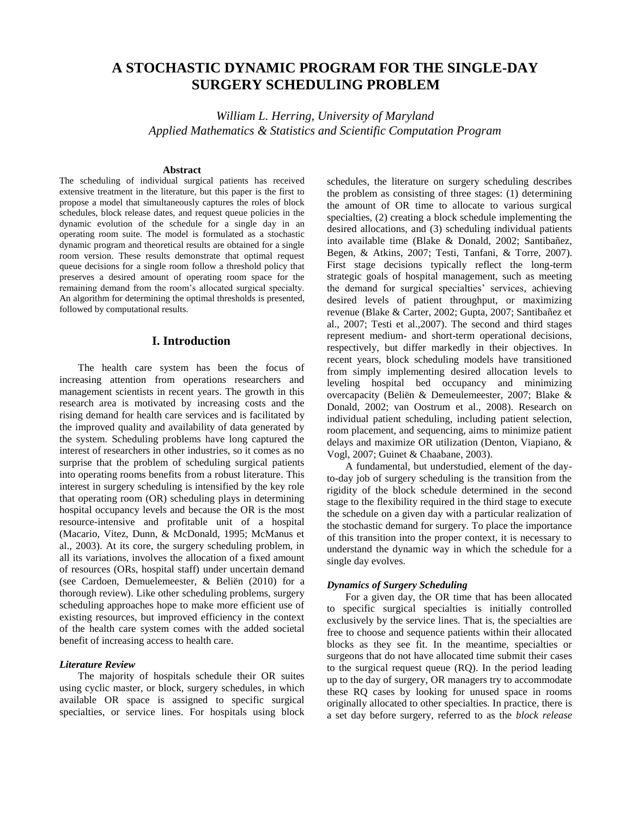# **A STOCHASTIC DYNAMIC PROGRAM FOR THE SINGLE-DAY SURGERY SCHEDULING PROBLEM**

*William L. Herring, University of Maryland Applied Mathematics & Statistics and Scientific Computation Program*

# **Abstract**

The scheduling of individual surgical patients has received extensive treatment in the literature, but this paper is the first to propose a model that simultaneously captures the roles of block schedules, block release dates, and request queue policies in the dynamic evolution of the schedule for a single day in an operating room suite. The model is formulated as a stochastic dynamic program and theoretical results are obtained for a single room version. These results demonstrate that optimal request queue decisions for a single room follow a threshold policy that preserves a desired amount of operating room space for the remaining demand from the room's allocated surgical specialty. An algorithm for determining the optimal thresholds is presented, followed by computational results.

# **I. Introduction**

The health care system has been the focus of increasing attention from operations researchers and management scientists in recent years. The growth in this research area is motivated by increasing costs and the rising demand for health care services and is facilitated by the improved quality and availability of data generated by the system. Scheduling problems have long captured the interest of researchers in other industries, so it comes as no surprise that the problem of scheduling surgical patients into operating rooms benefits from a robust literature. This interest in surgery scheduling is intensified by the key role that operating room (OR) scheduling plays in determining hospital occupancy levels and because the OR is the most resource-intensive and profitable unit of a hospital (Macario, Vitez, Dunn, & McDonald, 1995; McManus et al., 2003). At its core, the surgery scheduling problem, in all its variations, involves the allocation of a fixed amount of resources (ORs, hospital staff) under uncertain demand (see Cardoen, Demuelemeester, & Beliën (2010) for a thorough review). Like other scheduling problems, surgery scheduling approaches hope to make more efficient use of existing resources, but improved efficiency in the context of the health care system comes with the added societal benefit of increasing access to health care.

### *Literature Review*

The majority of hospitals schedule their OR suites using cyclic master, or block, surgery schedules, in which available OR space is assigned to specific surgical specialties, or service lines. For hospitals using block schedules, the literature on surgery scheduling describes the problem as consisting of three stages: (1) determining the amount of OR time to allocate to various surgical specialties, (2) creating a block schedule implementing the desired allocations, and (3) scheduling individual patients into available time (Blake & Donald, 2002; Santibañez, Begen, & Atkins, 2007; Testi, Tanfani, & Torre, 2007). First stage decisions typically reflect the long-term strategic goals of hospital management, such as meeting the demand for surgical specialties' services, achieving desired levels of patient throughput, or maximizing revenue (Blake & Carter, 2002; Gupta, 2007; Santibañez et al., 2007; Testi et al.,2007). The second and third stages represent medium- and short-term operational decisions, respectively, but differ markedly in their objectives. In recent years, block scheduling models have transitioned from simply implementing desired allocation levels to leveling hospital bed occupancy and minimizing overcapacity (Beliën & Demeulemeester, 2007; Blake & Donald, 2002; van Oostrum et al., 2008). Research on individual patient scheduling, including patient selection, room placement, and sequencing, aims to minimize patient delays and maximize OR utilization (Denton, Viapiano, & Vogl, 2007; Guinet & Chaabane, 2003).

A fundamental, but understudied, element of the dayto-day job of surgery scheduling is the transition from the rigidity of the block schedule determined in the second stage to the flexibility required in the third stage to execute the schedule on a given day with a particular realization of the stochastic demand for surgery. To place the importance of this transition into the proper context, it is necessary to understand the dynamic way in which the schedule for a single day evolves.

### *Dynamics of Surgery Scheduling*

For a given day, the OR time that has been allocated to specific surgical specialties is initially controlled exclusively by the service lines. That is, the specialties are free to choose and sequence patients within their allocated blocks as they see fit. In the meantime, specialties or surgeons that do not have allocated time submit their cases to the surgical request queue (RQ). In the period leading up to the day of surgery, OR managers try to accommodate these RQ cases by looking for unused space in rooms originally allocated to other specialties. In practice, there is a set day before surgery, referred to as the *block release*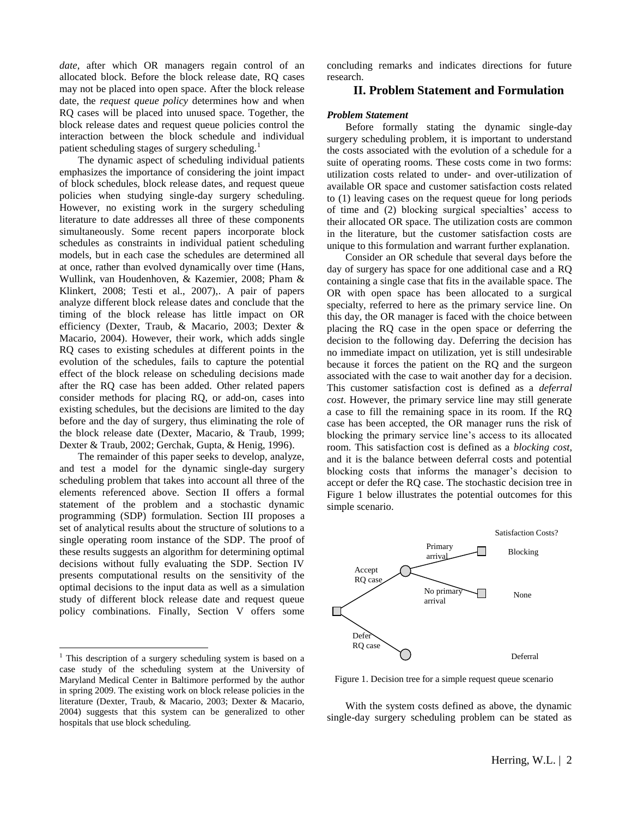*date*, after which OR managers regain control of an allocated block. Before the block release date, RQ cases may not be placed into open space. After the block release date, the *request queue policy* determines how and when RQ cases will be placed into unused space. Together, the block release dates and request queue policies control the interaction between the block schedule and individual patient scheduling stages of surgery scheduling.<sup>1</sup>

The dynamic aspect of scheduling individual patients emphasizes the importance of considering the joint impact of block schedules, block release dates, and request queue policies when studying single-day surgery scheduling. However, no existing work in the surgery scheduling literature to date addresses all three of these components simultaneously. Some recent papers incorporate block schedules as constraints in individual patient scheduling models, but in each case the schedules are determined all at once, rather than evolved dynamically over time (Hans, Wullink, van Houdenhoven, & Kazemier, 2008; Pham & Klinkert, 2008; Testi et al., 2007),. A pair of papers analyze different block release dates and conclude that the timing of the block release has little impact on OR efficiency (Dexter, Traub, & Macario, 2003; Dexter & Macario, 2004). However, their work, which adds single RQ cases to existing schedules at different points in the evolution of the schedules, fails to capture the potential effect of the block release on scheduling decisions made after the RQ case has been added. Other related papers consider methods for placing RQ, or add-on, cases into existing schedules, but the decisions are limited to the day before and the day of surgery, thus eliminating the role of the block release date (Dexter, Macario, & Traub, 1999; Dexter & Traub, 2002; Gerchak, Gupta, & Henig, 1996).

The remainder of this paper seeks to develop, analyze, and test a model for the dynamic single-day surgery scheduling problem that takes into account all three of the elements referenced above. Section II offers a formal statement of the problem and a stochastic dynamic programming (SDP) formulation. Section III proposes a set of analytical results about the structure of solutions to a single operating room instance of the SDP. The proof of these results suggests an algorithm for determining optimal decisions without fully evaluating the SDP. Section IV presents computational results on the sensitivity of the optimal decisions to the input data as well as a simulation study of different block release date and request queue policy combinations. Finally, Section V offers some

l

concluding remarks and indicates directions for future research.

# **II. Problem Statement and Formulation**

### *Problem Statement*

Before formally stating the dynamic single-day surgery scheduling problem, it is important to understand the costs associated with the evolution of a schedule for a suite of operating rooms. These costs come in two forms: utilization costs related to under- and over-utilization of available OR space and customer satisfaction costs related to (1) leaving cases on the request queue for long periods of time and (2) blocking surgical specialties' access to their allocated OR space. The utilization costs are common in the literature, but the customer satisfaction costs are unique to this formulation and warrant further explanation.

Consider an OR schedule that several days before the day of surgery has space for one additional case and a RQ containing a single case that fits in the available space. The OR with open space has been allocated to a surgical specialty, referred to here as the primary service line. On this day, the OR manager is faced with the choice between placing the RQ case in the open space or deferring the decision to the following day. Deferring the decision has no immediate impact on utilization, yet is still undesirable because it forces the patient on the RQ and the surgeon associated with the case to wait another day for a decision. This customer satisfaction cost is defined as a *deferral cost*. However, the primary service line may still generate a case to fill the remaining space in its room. If the RQ case has been accepted, the OR manager runs the risk of blocking the primary service line's access to its allocated room. This satisfaction cost is defined as a *blocking cost*, and it is the balance between deferral costs and potential blocking costs that informs the manager's decision to accept or defer the RQ case. The stochastic decision tree in Figure 1 below illustrates the potential outcomes for this simple scenario.



Figure 1. Decision tree for a simple request queue scenario

With the system costs defined as above, the dynamic single-day surgery scheduling problem can be stated as

 $1$  This description of a surgery scheduling system is based on a case study of the scheduling system at the University of Maryland Medical Center in Baltimore performed by the author in spring 2009. The existing work on block release policies in the literature (Dexter, Traub, & Macario, 2003; Dexter & Macario, 2004) suggests that this system can be generalized to other hospitals that use block scheduling.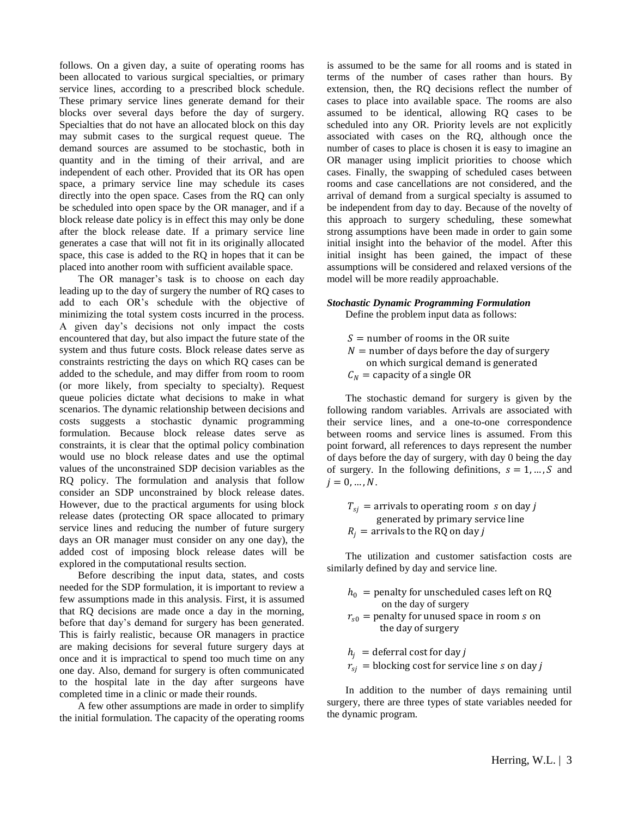follows. On a given day, a suite of operating rooms has been allocated to various surgical specialties, or primary service lines, according to a prescribed block schedule. These primary service lines generate demand for their blocks over several days before the day of surgery. Specialties that do not have an allocated block on this day may submit cases to the surgical request queue. The demand sources are assumed to be stochastic, both in quantity and in the timing of their arrival, and are independent of each other. Provided that its OR has open space, a primary service line may schedule its cases directly into the open space. Cases from the RQ can only be scheduled into open space by the OR manager, and if a block release date policy is in effect this may only be done after the block release date. If a primary service line generates a case that will not fit in its originally allocated space, this case is added to the RQ in hopes that it can be placed into another room with sufficient available space.

The OR manager's task is to choose on each day leading up to the day of surgery the number of RQ cases to add to each OR's schedule with the objective of minimizing the total system costs incurred in the process. A given day's decisions not only impact the costs encountered that day, but also impact the future state of the system and thus future costs. Block release dates serve as constraints restricting the days on which RQ cases can be added to the schedule, and may differ from room to room (or more likely, from specialty to specialty). Request queue policies dictate what decisions to make in what scenarios. The dynamic relationship between decisions and costs suggests a stochastic dynamic programming formulation. Because block release dates serve as constraints, it is clear that the optimal policy combination would use no block release dates and use the optimal values of the unconstrained SDP decision variables as the RQ policy. The formulation and analysis that follow consider an SDP unconstrained by block release dates. However, due to the practical arguments for using block release dates (protecting OR space allocated to primary service lines and reducing the number of future surgery days an OR manager must consider on any one day), the added cost of imposing block release dates will be explored in the computational results section.

Before describing the input data, states, and costs needed for the SDP formulation, it is important to review a few assumptions made in this analysis. First, it is assumed that RQ decisions are made once a day in the morning, before that day's demand for surgery has been generated. This is fairly realistic, because OR managers in practice are making decisions for several future surgery days at once and it is impractical to spend too much time on any one day. Also, demand for surgery is often communicated to the hospital late in the day after surgeons have completed time in a clinic or made their rounds.

A few other assumptions are made in order to simplify the initial formulation. The capacity of the operating rooms is assumed to be the same for all rooms and is stated in terms of the number of cases rather than hours. By extension, then, the RQ decisions reflect the number of cases to place into available space. The rooms are also assumed to be identical, allowing RQ cases to be scheduled into any OR. Priority levels are not explicitly associated with cases on the RQ, although once the number of cases to place is chosen it is easy to imagine an OR manager using implicit priorities to choose which cases. Finally, the swapping of scheduled cases between rooms and case cancellations are not considered, and the arrival of demand from a surgical specialty is assumed to be independent from day to day. Because of the novelty of this approach to surgery scheduling, these somewhat strong assumptions have been made in order to gain some initial insight into the behavior of the model. After this initial insight has been gained, the impact of these assumptions will be considered and relaxed versions of the model will be more readily approachable.

# *Stochastic Dynamic Programming Formulation*

Define the problem input data as follows:

 $S =$  number of rooms in the OR suite  $N =$  number of days before the day of surgery on which surgical demand is generated  $C_N$  = capacity of a single OR

The stochastic demand for surgery is given by the following random variables. Arrivals are associated with their service lines, and a one-to-one correspondence between rooms and service lines is assumed. From this point forward, all references to days represent the number of days before the day of surgery, with day 0 being the day of surgery. In the following definitions,  $s = 1, ..., S$  and  $i = 0, ..., N$ .

 $T_{si}$  = arrivals to operating room s on day j generated by primary service line  $R_i$  = arrivals to the RQ on day *j* 

The utilization and customer satisfaction costs are similarly defined by day and service line.

- $h_0$  = penalty for unscheduled cases left on RQ on the day of surgery
- $r_{s0}$  = penalty for unused space in room *s* on the day of surgery

 $h_i$  = deferral cost for day j  $r_{si}$  = blocking cost for service line *s* on day *j* 

In addition to the number of days remaining until surgery, there are three types of state variables needed for the dynamic program.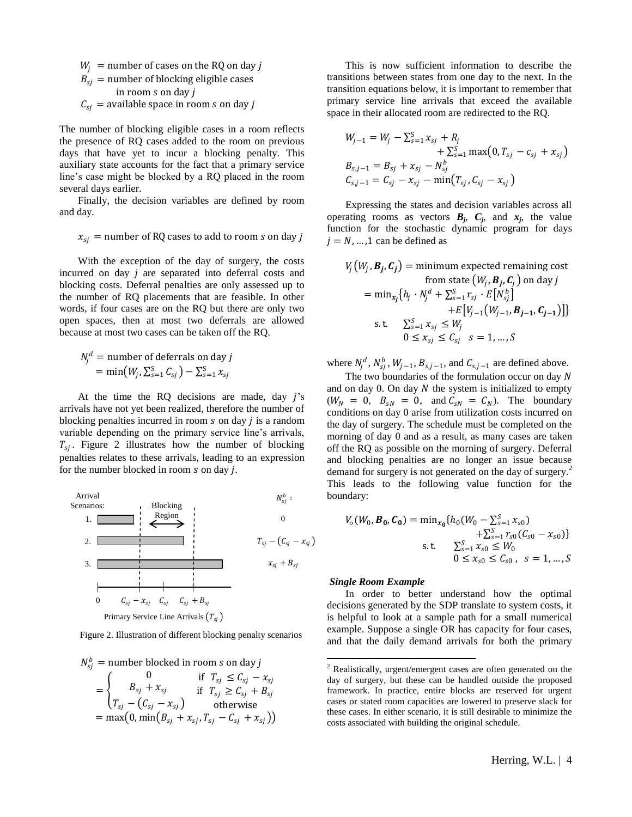$W_i$  = number of cases on the RQ on day j  $B_{si}$  = number of blocking eligible cases in room  $s$  on day  $j$  $C_{si}$  = available space in room *s* on day *j* 

The number of blocking eligible cases in a room reflects the presence of RQ cases added to the room on previous days that have yet to incur a blocking penalty. This auxiliary state accounts for the fact that a primary service line's case might be blocked by a RQ placed in the room several days earlier.

Finally, the decision variables are defined by room and day.

$$
x_{sj}
$$
 = number of RQ cases to add to room *s* on day *j*

With the exception of the day of surgery, the costs incurred on day *j* are separated into deferral costs and blocking costs. Deferral penalties are only assessed up to the number of RQ placements that are feasible. In other words, if four cases are on the RQ but there are only two open spaces, then at most two deferrals are allowed because at most two cases can be taken off the RQ.

$$
N_j^d = \text{number of deferrals on day } j
$$
  
= min $(W_j, \sum_{s=1}^S C_{sj}) - \sum_{s=1}^S x_{sj}$ 

At the time the RQ decisions are made, day  $j$ 's arrivals have not yet been realized, therefore the number of blocking penalties incurred in room  $s$  on day  $j$  is a random variable depending on the primary service line's arrivals,  $T_{sj}$ . Figure 2 illustrates how the number of blocking penalties relates to these arrivals, leading to an expression for the number blocked in room  $s$  on day  $j$ .



Figure 2. Illustration of different blocking penalty scenarios

 $N_{sj}^{b}\,=\,$ number blocked in room  $s$  on day  $j$  $=$   $\langle$ 0  $B_{sj} + x_{sj}$  $T_{sj}-(\mathcal{C}_{sj}-x_{sj})$ if  $T_{sj} \leq C_{sj} - x_{sj}$ if  $T_{sj} \geq C_{sj} + B_{sj}$ otherwise  $=$  max $(0, \min(B_{sj} + x_{sj}, T_{sj} - C_{sj} + x_{sj}))$ 

This is now sufficient information to describe the transitions between states from one day to the next. In the transition equations below, it is important to remember that primary service line arrivals that exceed the available space in their allocated room are redirected to the RQ.

$$
W_{j-1} = W_j - \sum_{s=1}^{S} x_{sj} + R_j + \sum_{s=1}^{S} \max(0, T_{sj} - c_{sj} + x_{sj})
$$
  
\n
$$
B_{s,j-1} = B_{sj} + x_{sj} - N_{sj}^{b}
$$
  
\n
$$
C_{s,j-1} = C_{sj} - x_{sj} - \min(T_{sj}, C_{sj} - x_{sj})
$$

Expressing the states and decision variables across all operating rooms as vectors  $B_j$ ,  $C_j$ , and  $x_j$ , the value function for the stochastic dynamic program for days  $j = N, \dots, 1$  can be defined as

$$
V_j(W_j, \mathbf{B}_j, \mathbf{C}_j) = \text{minimum expected remaining cost}
$$
  
from state  $(W_j, \mathbf{B}_j, \mathbf{C}_j)$  on day j  

$$
= \min_{x_j} \{h_j \cdot N_j^d + \sum_{s=1}^S r_{sj} \cdot E[N_{sj}^b]\}
$$

$$
+ E[V_{j-1}(W_{j-1}, \mathbf{B}_{j-1}, \mathbf{C}_{j-1})]\}
$$
s.t.  $\sum_{s=1}^S x_{sj} \le W_j$ 
$$
0 \le x_{sj} \le C_{sj} \quad s = 1, ..., S
$$

where  $N_j^d$ ,  $N_{sj}^b$ ,  $W_{j-1}$ ,  $B_{s,j-1}$ , and  $C_{s,j-1}$  are defined above.

The two boundaries of the formulation occur on day  $N$ and on day  $0$ . On day  $N$  the system is initialized to empty  $(W_N = 0, B_{sN} = 0, \text{ and } C_{sN} = C_N)$ . The boundary conditions on day 0 arise from utilization costs incurred on the day of surgery. The schedule must be completed on the morning of day 0 and as a result, as many cases are taken off the RQ as possible on the morning of surgery. Deferral and blocking penalties are no longer an issue because demand for surgery is not generated on the day of surgery. 2 This leads to the following value function for the boundary:

$$
V_o(W_0, \mathbf{B_0}, \mathbf{C_0}) = \min_{x_0} \{ h_0(W_0 - \sum_{s=1}^S x_{s0}) + \sum_{s=1}^S r_{s0} (C_{s0} - x_{s0}) \}
$$
  
s.t. 
$$
\sum_{s=1}^S x_{s0} \le W_0
$$

$$
0 \le x_{s0} \le C_{s0}, s = 1, ..., S
$$

#### *Single Room Example*

In order to better understand how the optimal decisions generated by the SDP translate to system costs, it is helpful to look at a sample path for a small numerical example. Suppose a single OR has capacity for four cases, and that the daily demand arrivals for both the primary

<sup>2</sup> Realistically, urgent/emergent cases are often generated on the day of surgery, but these can be handled outside the proposed framework. In practice, entire blocks are reserved for urgent cases or stated room capacities are lowered to preserve slack for these cases. In either scenario, it is still desirable to minimize the costs associated with building the original schedule.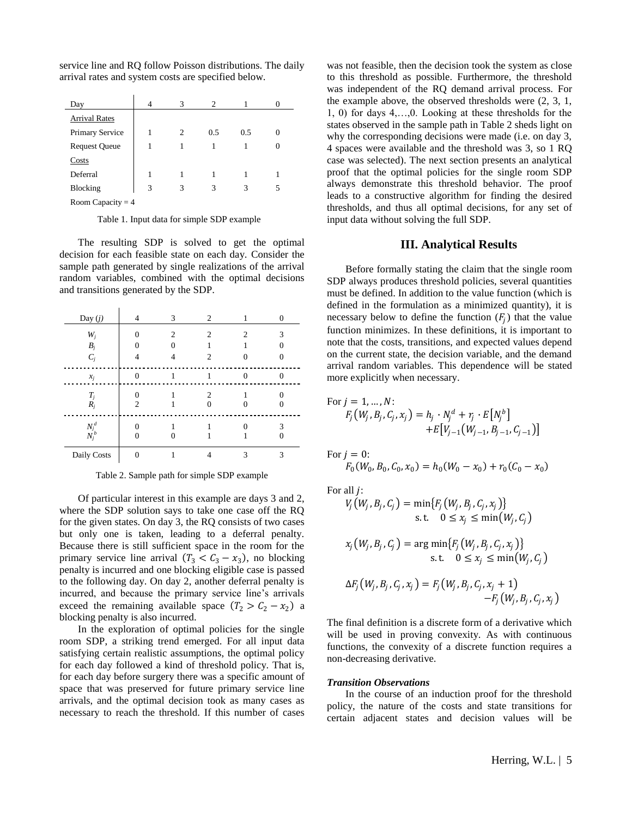service line and RQ follow Poisson distributions. The daily arrival rates and system costs are specified below.

| Day                  | 4 | 3             | 2   |     |   |
|----------------------|---|---------------|-----|-----|---|
| <b>Arrival Rates</b> |   |               |     |     |   |
| Primary Service      |   | $\mathcal{L}$ | 0.5 | 0.5 |   |
| <b>Request Queue</b> |   |               |     |     |   |
| Costs                |   |               |     |     |   |
| Deferral             |   |               |     |     |   |
| Blocking             | 3 | 3             | 3   | 3   | 5 |
| Room Capacity $=$ 4  |   |               |     |     |   |

Table 1. Input data for simple SDP example

The resulting SDP is solved to get the optimal decision for each feasible state on each day. Consider the sample path generated by single realizations of the arrival random variables, combined with the optimal decisions and transitions generated by the SDP.

| Day $(j)$          | 4            | 3              | 2              |                | 0        |
|--------------------|--------------|----------------|----------------|----------------|----------|
| $W_j$              | $\theta$     | $\overline{c}$ | $\overline{2}$ | $\overline{c}$ | 3        |
| $B_i$              | 0            | $\Omega$       |                |                |          |
| $C_i$              | 4            | 4              | 2              |                |          |
| $x_i$              | $\mathbf{0}$ | 1              |                | $\Omega$       |          |
| $T_j$<br>$R_i$     | 0<br>2       |                | 2              |                | $\Omega$ |
| $N_j^d$<br>$N_j^b$ | 0<br>0       |                |                |                | 3        |
| Daily Costs        | $\Omega$     |                |                | 3              | 3        |

Table 2. Sample path for simple SDP example

Of particular interest in this example are days 3 and 2, where the SDP solution says to take one case off the RQ for the given states. On day 3, the RQ consists of two cases but only one is taken, leading to a deferral penalty. Because there is still sufficient space in the room for the primary service line arrival  $(T_3 < C_3 - x_3)$ , no blocking penalty is incurred and one blocking eligible case is passed to the following day. On day 2, another deferral penalty is incurred, and because the primary service line's arrivals exceed the remaining available space  $(T_2 > C_2 - x_2)$  a blocking penalty is also incurred.

In the exploration of optimal policies for the single room SDP, a striking trend emerged. For all input data satisfying certain realistic assumptions, the optimal policy for each day followed a kind of threshold policy. That is, for each day before surgery there was a specific amount of space that was preserved for future primary service line arrivals, and the optimal decision took as many cases as necessary to reach the threshold. If this number of cases was not feasible, then the decision took the system as close to this threshold as possible. Furthermore, the threshold was independent of the RQ demand arrival process. For the example above, the observed thresholds were (2, 3, 1, 1, 0) for days 4,…,0. Looking at these thresholds for the states observed in the sample path in Table 2 sheds light on why the corresponding decisions were made (i.e. on day 3, 4 spaces were available and the threshold was 3, so 1 RQ case was selected). The next section presents an analytical proof that the optimal policies for the single room SDP always demonstrate this threshold behavior. The proof leads to a constructive algorithm for finding the desired thresholds, and thus all optimal decisions, for any set of input data without solving the full SDP.

# **III. Analytical Results**

Before formally stating the claim that the single room SDP always produces threshold policies, several quantities must be defined. In addition to the value function (which is defined in the formulation as a minimized quantity), it is necessary below to define the function  $(F_j)$  that the value function minimizes. In these definitions, it is important to note that the costs, transitions, and expected values depend on the current state, the decision variable, and the demand arrival random variables. This dependence will be stated more explicitly when necessary.

For 
$$
j = 1, ..., N
$$
:  
\n
$$
F_j(W_j, B_j, C_j, x_j) = h_j \cdot N_j^d + r_j \cdot E[N_j^b] + E[V_{j-1}(W_{j-1}, B_{j-1}, C_{j-1})]
$$

For  $j = 0$ :

$$
F_0(W_0, B_0, C_0, x_0) = h_0(W_0 - x_0) + r_0(C_0 - x_0)
$$

For all *i*:

$$
V_j(W_j, B_j, C_j) = \min\{F_j(W_j, B_j, C_j, x_j)\}
$$
  
s.t.  $0 \le x_j \le \min(W_j, C_j)$ 

$$
x_j(W_j, B_j, C_j) = \arg\min\{F_j(W_j, B_j, C_j, x_j)\}
$$
  
s.t.  $0 \le x_j \le \min(W_j, C_j)$   

$$
\Delta F_j(W_j, B_j, C_j, x_j) = F_j(W_j, B_j, C_j, x_j + 1) -F_j(W_j, B_j, C_j, x_j)
$$

The final definition is a discrete form of a derivative which will be used in proving convexity. As with continuous functions, the convexity of a discrete function requires a non-decreasing derivative.

#### *Transition Observations*

In the course of an induction proof for the threshold policy, the nature of the costs and state transitions for certain adjacent states and decision values will be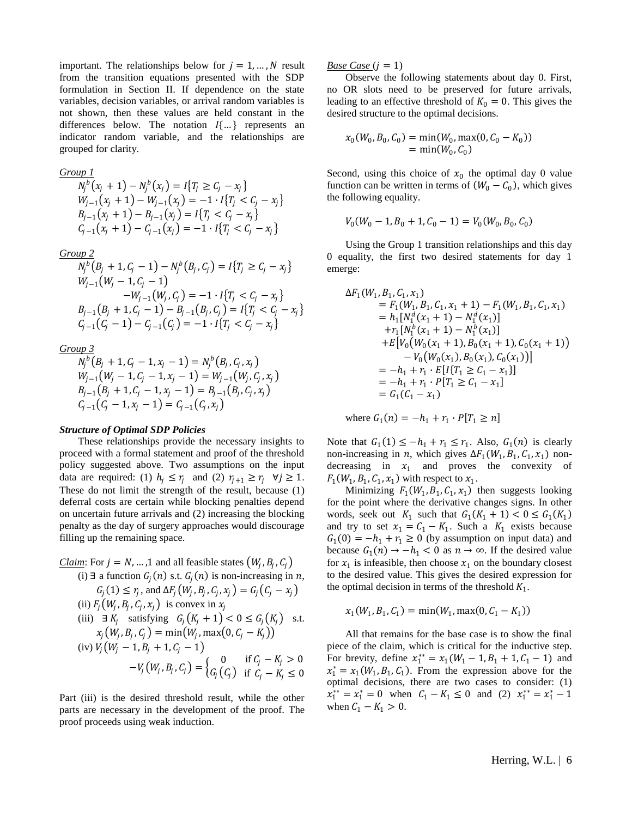important. The relationships below for  $j = 1, ..., N$  result from the transition equations presented with the SDP formulation in Section II. If dependence on the state variables, decision variables, or arrival random variables is not shown, then these values are held constant in the differences below. The notation  $I\{\ldots\}$  represents an indicator random variable, and the relationships are grouped for clarity.

*Group 1*

$$
N_j^b(x_j + 1) - N_j^b(x_j) = I\{T_j \ge C_j - x_j\}
$$
  
\n
$$
W_{j-1}(x_j + 1) - W_{j-1}(x_j) = -1 \cdot I\{T_j < C_j - x_j\}
$$
  
\n
$$
B_{j-1}(x_j + 1) - B_{j-1}(x_j) = I\{T_j < C_j - x_j\}
$$
  
\n
$$
C_{j-1}(x_j + 1) - C_{j-1}(x_j) = -1 \cdot I\{T_j < C_j - x_j\}
$$

*Group 2*

$$
N_j^b (B_j + 1, C_j - 1) - N_j^b (B_j, C_j) = I\{T_j \ge C_j - x_j\}
$$
  
\n
$$
W_{j-1} (W_j - 1, C_j - 1)
$$
  
\n
$$
-W_{j-1} (W_j, C_j) = -1 \cdot I\{T_j < C_j - x_j\}
$$
  
\n
$$
B_{j-1} (B_j + 1, C_j - 1) - B_{j-1} (B_j, C_j) = I\{T_j < C_j - x_j\}
$$
  
\n
$$
C_{j-1} (C_j - 1) - C_{j-1} (C_j) = -1 \cdot I\{T_j < C_j - x_j\}
$$

*Group 3*

$$
N_j^b (B_j + 1, C_j - 1, x_j - 1) = N_j^b (B_j, C_j, x_j)
$$
  
\n
$$
W_{j-1} (W_j - 1, C_j - 1, x_j - 1) = W_{j-1} (W_j, C_j, x_j)
$$
  
\n
$$
B_{j-1} (B_j + 1, C_j - 1, x_j - 1) = B_{j-1} (B_j, C_j, x_j)
$$
  
\n
$$
C_{j-1} (C_j - 1, x_j - 1) = C_{j-1} (C_j, x_j)
$$

## *Structure of Optimal SDP Policies*

These relationships provide the necessary insights to proceed with a formal statement and proof of the threshold policy suggested above. Two assumptions on the input data are required: (1)  $h_i \leq r_i$  and (2)  $r_{i+1} \geq r_i$   $\forall j \geq 1$ . These do not limit the strength of the result, because (1) deferral costs are certain while blocking penalties depend on uncertain future arrivals and (2) increasing the blocking penalty as the day of surgery approaches would discourage filling up the remaining space.

*Claim*: For 
$$
j = N, \ldots, 1
$$
 and all feasible states  $(W_j, B_j, C_j)$  (i)  $\exists$  a function  $G_j(n)$  s.t.  $G_j(n)$  is non-increasing in *n*,  $G_j(1) \leq r_j$ , and  $\Delta F_j(W_j, B_j, C_j, x_j) = G_j(C_j - x_j)$  (ii)  $F_j(W_j, B_j, C_j, x_j)$  is convex in  $x_j$  (iii)  $\exists K_j$  satisfying  $G_j(K_j + 1) < 0 \leq G_j(K_j)$  s.t.  $x_j(W_j, B_j, C_j) = \min(W_j, \max(0, C_j - K_j))$  (iv)  $V_j(W_j - 1, B_j + 1, C_j - 1)$  $-V_j(W_j, B_j, C_j) = \begin{cases} 0 & \text{if } C_j - K_j > 0 \\ G_j(C_j) & \text{if } C_j - K_j \leq 0 \end{cases}$ 

Part (iii) is the desired threshold result, while the other parts are necessary in the development of the proof. The proof proceeds using weak induction.

*Base Case*  $(j = 1)$ 

Observe the following statements about day 0. First, no OR slots need to be preserved for future arrivals, leading to an effective threshold of  $K_0 = 0$ . This gives the desired structure to the optimal decisions.

$$
x_0(W_0, B_0, C_0) = \min(W_0, \max(0, C_0 - K_0))
$$
  
=  $\min(W_0, C_0)$ 

Second, using this choice of  $x_0$  the optimal day 0 value function can be written in terms of  $(W_0 - C_0)$ , which gives the following equality.

$$
V_0(W_0-1, B_0+1, C_0-1)=V_0(W_0, B_0, C_0)
$$

Using the Group 1 transition relationships and this day 0 equality, the first two desired statements for day 1 emerge:

$$
\Delta F_1(W_1, B_1, C_1, x_1)
$$
  
=  $F_1(W_1, B_1, C_1, x_1 + 1) - F_1(W_1, B_1, C_1, x_1)$   
=  $h_1[N_1^d(x_1 + 1) - N_1^d(x_1)]$   
+  $r_1[N_1^h(x_1 + 1) - N_1^h(x_1)]$   
+  $E[V_0(W_0(x_1 + 1), B_0(x_1 + 1), C_0(x_1 + 1)) - V_0(W_0(x_1), B_0(x_1), C_0(x_1))]$   
=  $-h_1 + r_1 \cdot E[I\{T_1 \ge C_1 - x_1\}]$   
=  $-h_1 + r_1 \cdot P[T_1 \ge C_1 - x_1]$   
=  $G_1(C_1 - x_1)$ 

where  $G_1(n) = -h_1 + r_1 \cdot P[T_1 \ge n]$ 

Note that  $G_1(1) \le -h_1 + r_1 \le r_1$ . Also,  $G_1(n)$  is clearly non-increasing in *n*, which gives  $\Delta F_1(W_1, B_1, C_1, x_1)$  nondecreasing in  $x_1$  and proves the convexity of  $F_1(W_1, B_1, C_1, x_1)$  with respect to  $x_1$ .

Minimizing  $F_1(W_1, B_1, C_1, x_1)$  then suggests looking for the point where the derivative changes signs. In other words, seek out  $K_1$  such that  $G_1(K_1 + 1) < 0 \le G_1(K_1)$ and try to set  $x_1 = C_1 - K_1$ . Such a  $K_1$  exists because  $G_1(0) = -h_1 + r_1 \ge 0$  (by assumption on input data) and because  $G_1(n) \rightarrow -h_1 < 0$  as  $n \rightarrow \infty$ . If the desired value for  $x_1$  is infeasible, then choose  $x_1$  on the boundary closest to the desired value. This gives the desired expression for the optimal decision in terms of the threshold  $K_1$ .

$$
x_1(W_1, B_1, C_1) = \min(W_1, \max(0, C_1 - K_1))
$$

All that remains for the base case is to show the final piece of the claim, which is critical for the inductive step. For brevity, define  $x_1^{**} = x_1(W_1 - 1, B_1 + 1, C_1 - 1)$  and  $x_1^* = x_1(W_1, B_1, C_1)$ . From the expression above for the optimal decisions, there are two cases to consider: (1)  $x_1^{**} = x_1^* = 0$  when  $C_1 - K_1 \le 0$  and (2)  $x_1^{**} = x_1^* - 1$ when  $C_1 - K_1 > 0$ .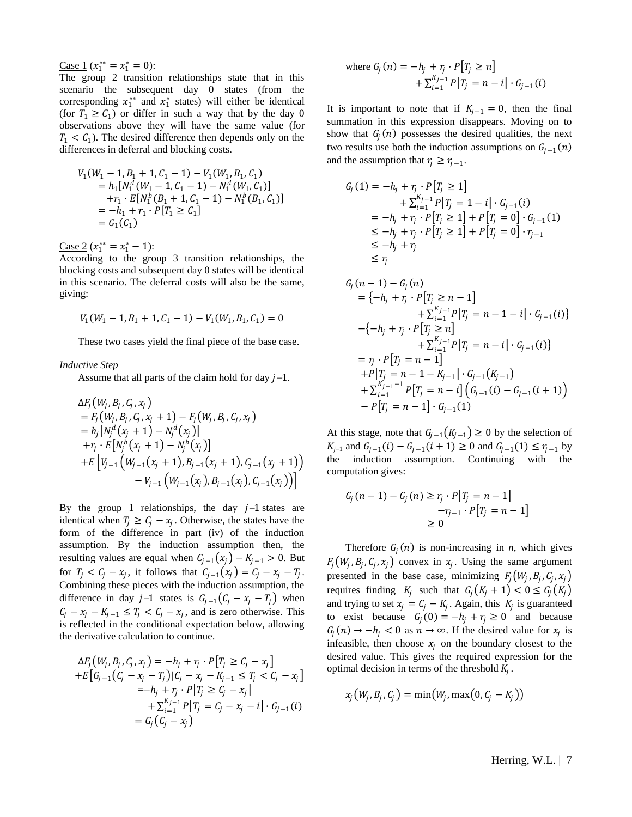Case 1 ( $x_1^{**} = x_1^* = 0$ ):

The group 2 transition relationships state that in this scenario the subsequent day 0 states (from the corresponding  $x_1^{**}$  and  $x_1^*$  states) will either be identical (for  $T_1 \ge C_1$ ) or differ in such a way that by the day 0 observations above they will have the same value (for  $T_1 < C_1$ ). The desired difference then depends only on the differences in deferral and blocking costs.

$$
V_1(W_1 - 1, B_1 + 1, C_1 - 1) - V_1(W_1, B_1, C_1)
$$
  
=  $h_1[N_1^d(W_1 - 1, C_1 - 1) - N_1^d(W_1, C_1)]$   
+  $r_1 \cdot E[N_1^b(B_1 + 1, C_1 - 1) - N_1^b(B_1, C_1)]$   
=  $-h_1 + r_1 \cdot P[T_1 \ge C_1]$   
=  $G_1(C_1)$ 

<u>Case 2</u> ( $x_1^{**} = x_1^* - 1$ ):

According to the group 3 transition relationships, the blocking costs and subsequent day 0 states will be identical in this scenario. The deferral costs will also be the same, giving:

$$
V_1(W_1-1, B_1+1, C_1-1)-V_1(W_1, B_1, C_1)=0
$$

These two cases yield the final piece of the base case.

#### *Inductive Step*

Assume that all parts of the claim hold for day  $j-1$ .

$$
\Delta F_j(W_j, B_j, C_j, x_j)
$$
\n=  $F_j(W_j, B_j, C_j, x_j + 1) - F_j(W_j, B_j, C_j, x_j)$   
\n=  $h_j[N_j^d(x_j + 1) - N_j^d(x_j)]$   
\n+  $r_j \cdot E[N_j^b(x_j + 1) - N_j^b(x_j)]$   
\n+  $E\left[V_{j-1}\left(W_{j-1}(x_j + 1), B_{j-1}(x_j + 1), C_{j-1}(x_j + 1)\right)\right]$   
\n-  $V_{j-1}\left(W_{j-1}(x_j), B_{j-1}(x_j), C_{j-1}(x_j)\right)\right]$ 

By the group 1 relationships, the day  $j-1$  states are identical when  $T_j \geq C_j - x_j$ . Otherwise, the states have the form of the difference in part (iv) of the induction assumption. By the induction assumption then, the resulting values are equal when  $C_{i-1}(x_i) - K_{i-1} > 0$ . But for  $T_j < C_j - x_j$ , it follows that  $C_{j-1}(x_j) = C_j - x_j - T_j$ . Combining these pieces with the induction assumption, the difference in day  $j-1$  states is  $G_{j-1}(C_j - x_j - T_j)$  when  $C_j - x_j - K_{j-1} \leq T_j < C_j - x_j$ , and is zero otherwise. This is reflected in the conditional expectation below, allowing the derivative calculation to continue.

$$
\Delta F_j(W_j, B_j, C_j, x_j) = -h_j + r_j \cdot P[T_j \ge C_j - x_j]
$$
  
+E[G<sub>j-1</sub>(C<sub>j</sub> - x<sub>j</sub> - T<sub>j</sub>)|C<sub>j</sub> - x<sub>j</sub> - K<sub>j-1</sub> \le T<sub>j</sub> < C<sub>j</sub> - x<sub>j</sub>]  
= -h\_j + r\_j \cdot P[T\_j \ge C\_j - x\_j]  
+ \sum\_{i=1}^{K\_{j-1}} P[T\_j = C\_j - x\_j - i] \cdot G\_{j-1}(i)  
= G\_j(C\_j - x\_j)

where 
$$
G_j(n) = -h_j + r_j \cdot P[T_j \ge n]
$$
  
  $+ \sum_{i=1}^{K_j-1} P[T_j = n - i] \cdot G_{j-1}(i)$ 

It is important to note that if  $K_{i-1} = 0$ , then the final summation in this expression disappears. Moving on to show that  $G_j(n)$  possesses the desired qualities, the next two results use both the induction assumptions on  $G_{j-1}(n)$ and the assumption that  $r_j \ge r_{j-1}$ .

$$
G_j(1) = -h_j + r_j \cdot P[T_j \ge 1] + \sum_{i=1}^{K_j - 1} P[T_j = 1 - i] \cdot G_{j-1}(i) = -h_j + r_j \cdot P[T_j \ge 1] + P[T_j = 0] \cdot G_{j-1}(1) \le -h_j + r_j \cdot P[T_j \ge 1] + P[T_j = 0] \cdot r_{j-1} \le -h_j + r_j \le r_j
$$

$$
G_j(n-1) - G_j(n)
$$
  
=  $\{-h_j + r_j \cdot P[T_j \ge n-1]$   
+  $\sum_{i=1}^{K_j-1} P[T_i = n-1-i] \cdot G_{j-1}(i)$  }  
- $\{-h_j + r_j \cdot P[T_j \ge n]$   
+  $\sum_{i=1}^{K_j-1} P[T_j = n-i] \cdot G_{j-1}(i)$  }  
=  $r_j \cdot P[T_j = n-1]$   
+  $P[T_j = n-1 - K_{j-1}] \cdot G_{j-1}(K_{j-1})$   
+  $\sum_{i=1}^{K_j-1-1} P[T_j = n-i] (G_{j-1}(i) - G_{j-1}(i+1))$   
-  $P[T_j = n-1] \cdot G_{j-1}(1)$ 

At this stage, note that  $G_{i-1}(K_{i-1}) \ge 0$  by the selection of  $K_{j-1}$  and  $G_{j-1}(i) - G_{j-1}(i+1) \ge 0$  and  $G_{j-1}(1) \le r_{j-1}$  by the induction assumption. Continuing with the computation gives:

$$
G_j(n-1) - G_j(n) \ge r_j \cdot P[T_j = n-1] -r_{j-1} \cdot P[T_j = n-1] \ge 0
$$

Therefore  $G_j(n)$  is non-increasing in *n*, which gives  $F_j(W_j, B_j, C_j, x_j)$  convex in  $x_j$ . Using the same argument presented in the base case, minimizing  $F_j(W_j, B_j, C_j, x_j)$ requires finding  $K_j$  such that  $G_j(K_j + 1) < 0 \le G_j(K_j)$ and trying to set  $x_j = C_j - K_j$ . Again, this  $K_j$  is guaranteed to exist because  $G_j(0) = -h_j + r_j \ge 0$  and because  $G_j(n) \to -h_j < 0$  as  $n \to \infty$ . If the desired value for  $x_j$  is infeasible, then choose  $x_i$  on the boundary closest to the desired value. This gives the required expression for the optimal decision in terms of the threshold  $K_j$ .

$$
x_j(W_j, B_j, C_j) = \min(W_j, \max(0, C_j - K_j))
$$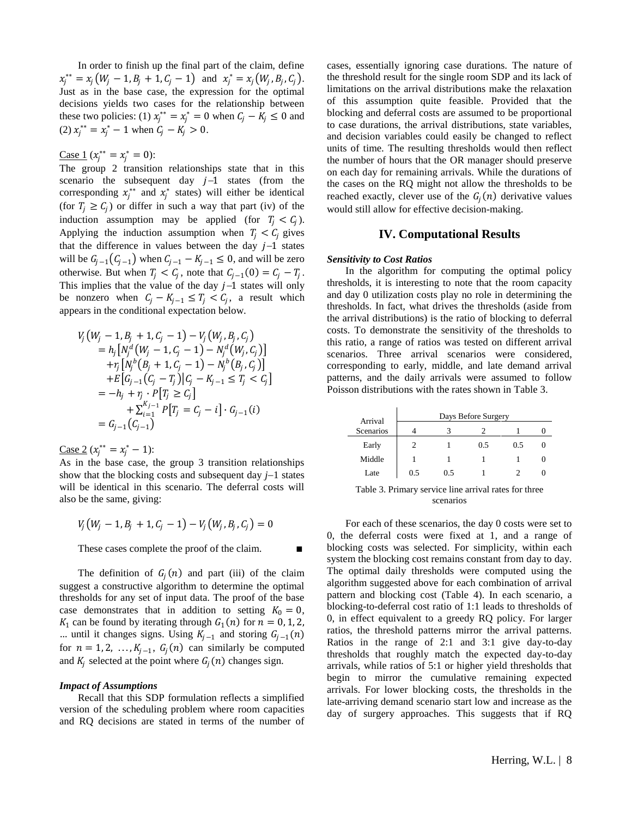In order to finish up the final part of the claim, define  $x_j^{**} = x_j (W_j - 1, B_j + 1, C_j - 1)$  and  $x_j^* = x_j (W_j, B_j, C_j)$ . Just as in the base case, the expression for the optimal decisions yields two cases for the relationship between these two policies: (1)  $x_j^{**} = x_j^* = 0$  when  $C_j - K_j \le 0$  and (2)  $x_j^{**} = x_j^* - 1$  when  $C_j - K_j > 0$ .

<u>Case 1</u> ( $x_j^{**} = x_j^* = 0$ ):

The group 2 transition relationships state that in this scenario the subsequent day  $j-1$  states (from the corresponding  $x_j^{**}$  and  $x_j^*$  states) will either be identical (for  $T_j \ge C_j$ ) or differ in such a way that part (iv) of the induction assumption may be applied (for  $T_j < C_j$ ). Applying the induction assumption when  $T_i < C_i$  gives that the difference in values between the day  $j-1$  states will be  $G_{i-1}(C_{i-1})$  when  $C_{i-1} - K_{i-1} \leq 0$ , and will be zero otherwise. But when  $T_j < C_j$ , note that  $C_{j-1}(0) = C_j - T_j$ . This implies that the value of the day  $j-1$  states will only be nonzero when  $C_j - K_{j-1} \leq T_j < C_j$ , a result which appears in the conditional expectation below.

$$
V_j(W_j - 1, B_j + 1, C_j - 1) - V_j(W_j, B_j, C_j)
$$
  
=  $h_j[N_j^d(W_j - 1, C_j - 1) - N_j^d(W_j, C_j)]$   
+  $\tau_j[N_j^b(B_j + 1, C_j - 1) - N_j^b(B_j, C_j)]$   
+  $E[G_{j-1}(C_j - T_j)|C_j - K_{j-1} \le T_j < C_j]$   
=  $-h_j + \tau_j \cdot P[T_j \ge C_j]$   
+  $\sum_{i=1}^{K_{j-1}} P[T_j = C_j - i] \cdot G_{j-1}(i)$   
=  $G_{j-1}(C_{j-1})$ 

<u>Case 2</u> ( $x_i^{**} = x_i^* - 1$ ):

As in the base case, the group 3 transition relationships show that the blocking costs and subsequent day  $j-1$  states will be identical in this scenario. The deferral costs will also be the same, giving:

$$
V_j(W_j - 1, B_j + 1, C_j - 1) - V_j(W_j, B_j, C_j) = 0
$$

These cases complete the proof of the claim.

The definition of  $G_j(n)$  and part (iii) of the claim suggest a constructive algorithm to determine the optimal thresholds for any set of input data. The proof of the base case demonstrates that in addition to setting  $K_0 = 0$ ,  $K_1$  can be found by iterating through  $G_1(n)$  for  $n = 0, 1, 2$ , … until it changes signs. Using  $K_{j-1}$  and storing  $G_{j-1}(n)$ for  $n = 1, 2, ..., K_{j-1}, G_j(n)$  can similarly be computed and  $K_j$  selected at the point where  $G_j(n)$  changes sign.

### *Impact of Assumptions*

Recall that this SDP formulation reflects a simplified version of the scheduling problem where room capacities and RQ decisions are stated in terms of the number of cases, essentially ignoring case durations. The nature of the threshold result for the single room SDP and its lack of limitations on the arrival distributions make the relaxation of this assumption quite feasible. Provided that the blocking and deferral costs are assumed to be proportional to case durations, the arrival distributions, state variables, and decision variables could easily be changed to reflect units of time. The resulting thresholds would then reflect the number of hours that the OR manager should preserve on each day for remaining arrivals. While the durations of the cases on the RQ might not allow the thresholds to be reached exactly, clever use of the  $G_j(n)$  derivative values would still allow for effective decision-making.

## **IV. Computational Results**

#### *Sensitivity to Cost Ratios*

In the algorithm for computing the optimal policy thresholds, it is interesting to note that the room capacity and day 0 utilization costs play no role in determining the thresholds. In fact, what drives the thresholds (aside from the arrival distributions) is the ratio of blocking to deferral costs. To demonstrate the sensitivity of the thresholds to this ratio, a range of ratios was tested on different arrival scenarios. Three arrival scenarios were considered, corresponding to early, middle, and late demand arrival patterns, and the daily arrivals were assumed to follow Poisson distributions with the rates shown in Table 3.

| Arrival   |     |     | Days Before Surgery |     |  |
|-----------|-----|-----|---------------------|-----|--|
| Scenarios |     |     |                     |     |  |
| Early     |     |     | 0.5                 | 0.5 |  |
| Middle    |     |     |                     |     |  |
| Late      | 0.5 | 0.5 |                     |     |  |

Table 3. Primary service line arrival rates for three scenarios

For each of these scenarios, the day 0 costs were set to 0, the deferral costs were fixed at 1, and a range of blocking costs was selected. For simplicity, within each system the blocking cost remains constant from day to day. The optimal daily thresholds were computed using the algorithm suggested above for each combination of arrival pattern and blocking cost (Table 4). In each scenario, a blocking-to-deferral cost ratio of 1:1 leads to thresholds of 0, in effect equivalent to a greedy RQ policy. For larger ratios, the threshold patterns mirror the arrival patterns. Ratios in the range of 2:1 and 3:1 give day-to-day thresholds that roughly match the expected day-to-day arrivals, while ratios of 5:1 or higher yield thresholds that begin to mirror the cumulative remaining expected arrivals. For lower blocking costs, the thresholds in the late-arriving demand scenario start low and increase as the day of surgery approaches. This suggests that if RQ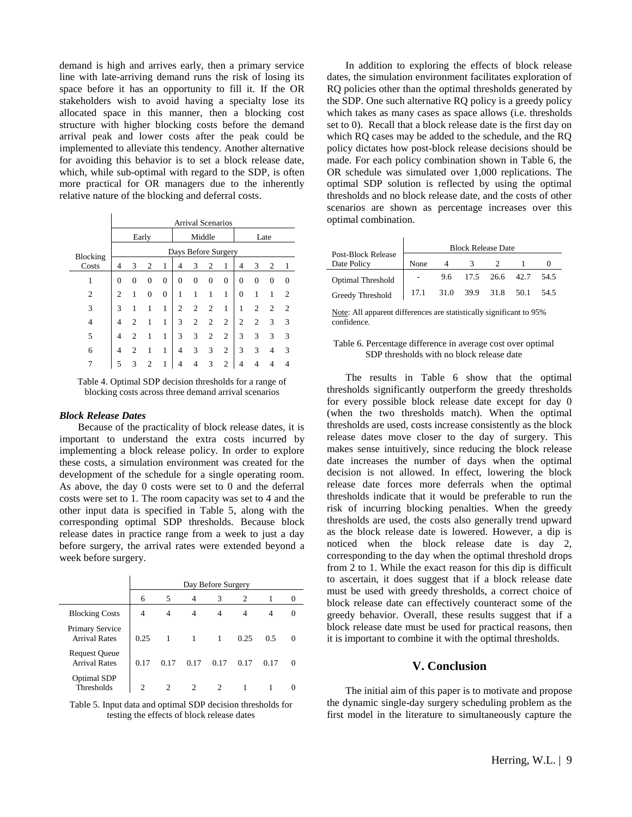demand is high and arrives early, then a primary service line with late-arriving demand runs the risk of losing its space before it has an opportunity to fill it. If the OR stakeholders wish to avoid having a specialty lose its allocated space in this manner, then a blocking cost structure with higher blocking costs before the demand arrival peak and lower costs after the peak could be implemented to alleviate this tendency. Another alternative for avoiding this behavior is to set a block release date, which, while sub-optimal with regard to the SDP, is often more practical for OR managers due to the inherently relative nature of the blocking and deferral costs.

|                | <b>Arrival Scenarios</b> |                |          |                |                |          |                |                |          |                |                |                |
|----------------|--------------------------|----------------|----------|----------------|----------------|----------|----------------|----------------|----------|----------------|----------------|----------------|
|                | Early                    |                |          |                | Middle         |          |                | Late           |          |                |                |                |
| Blocking       | Days Before Surgery      |                |          |                |                |          |                |                |          |                |                |                |
| Costs          | 4                        | 3              | 2        | 1              | 4              | 3        | $\overline{c}$ | 1              | 4        | 3              | $\overline{c}$ | 1              |
| 1              | 0                        | $\Omega$       | $\theta$ | 0              | $\Omega$       | $\Omega$ | $\theta$       | $\mathbf{0}$   | $\theta$ | $\Omega$       | 0              | 0              |
| $\overline{2}$ | $\overline{c}$           | 1              | $\theta$ | $\overline{0}$ | 1              | 1        | 1              | 1              | $\Omega$ | 1              | 1              | $\mathfrak{D}$ |
| 3              | 3                        | 1              | 1        | 1              | $\overline{c}$ | 2        | 2              | 1              | 1        | $\overline{2}$ | $\overline{c}$ | 2              |
| 4              | 4                        | 2              | 1        | 1              | 3              | 2        | 2              | 2              | 2        | $\overline{2}$ | 3              | 3              |
| 5              | 4                        | 2              | 1        | 1              | 3              | 3        | $\overline{2}$ | $\overline{2}$ | 3        | 3              | 3              | 3              |
| 6              | 4                        | $\overline{c}$ | 1        | 1              | $\overline{4}$ | 3        | 3              | $\overline{2}$ | 3        | 3              | 4              | 3              |
|                | 5                        | 3              | 2        |                | 4              | 4        | 3              | 2              | 4        |                |                |                |

Table 4. Optimal SDP decision thresholds for a range of blocking costs across three demand arrival scenarios

#### *Block Release Dates*

Because of the practicality of block release dates, it is important to understand the extra costs incurred by implementing a block release policy. In order to explore these costs, a simulation environment was created for the development of the schedule for a single operating room. As above, the day 0 costs were set to 0 and the deferral costs were set to 1. The room capacity was set to 4 and the other input data is specified in Table 5, along with the corresponding optimal SDP thresholds. Because block release dates in practice range from a week to just a day before surgery, the arrival rates were extended beyond a week before surgery.

|                                              | Day Before Surgery |      |      |      |      |      |              |  |
|----------------------------------------------|--------------------|------|------|------|------|------|--------------|--|
|                                              | 6                  | 5    |      | 3    | 2    |      |              |  |
| <b>Blocking Costs</b>                        | 4                  |      |      | 4    |      |      |              |  |
| Primary Service<br><b>Arrival Rates</b>      | 0.25               |      |      |      | 0.25 | 0.5  |              |  |
| <b>Request Queue</b><br><b>Arrival Rates</b> | 0.17               | 0.17 | 0.17 | 0.17 | 0.17 | 0.17 | $\mathbf{0}$ |  |
| <b>Optimal SDP</b><br>Thresholds             |                    |      |      |      |      |      |              |  |

Table 5. Input data and optimal SDP decision thresholds for testing the effects of block release dates

In addition to exploring the effects of block release dates, the simulation environment facilitates exploration of RQ policies other than the optimal thresholds generated by the SDP. One such alternative RQ policy is a greedy policy which takes as many cases as space allows (i.e. thresholds set to 0). Recall that a block release date is the first day on which RQ cases may be added to the schedule, and the RQ policy dictates how post-block release decisions should be made. For each policy combination shown in Table 6, the OR schedule was simulated over 1,000 replications. The optimal SDP solution is reflected by using the optimal thresholds and no block release date, and the costs of other scenarios are shown as percentage increases over this optimal combination.

|                                   | <b>Block Release Date</b> |      |           |               |        |      |  |
|-----------------------------------|---------------------------|------|-----------|---------------|--------|------|--|
| Post-Block Release<br>Date Policy | None                      |      |           |               |        |      |  |
| <b>Optimal Threshold</b>          |                           |      |           | 9.6 17.5 26.6 | 42.7   | 54.5 |  |
| <b>Greedy Threshold</b>           | 17.1                      | 31.0 | 39.9 31.8 |               | - 50.1 | 54.5 |  |

Note: All apparent differences are statistically significant to 95% confidence.

### Table 6. Percentage difference in average cost over optimal SDP thresholds with no block release date

The results in Table 6 show that the optimal thresholds significantly outperform the greedy thresholds for every possible block release date except for day 0 (when the two thresholds match). When the optimal thresholds are used, costs increase consistently as the block release dates move closer to the day of surgery. This makes sense intuitively, since reducing the block release date increases the number of days when the optimal decision is not allowed. In effect, lowering the block release date forces more deferrals when the optimal thresholds indicate that it would be preferable to run the risk of incurring blocking penalties. When the greedy thresholds are used, the costs also generally trend upward as the block release date is lowered. However, a dip is noticed when the block release date is day 2, corresponding to the day when the optimal threshold drops from 2 to 1. While the exact reason for this dip is difficult to ascertain, it does suggest that if a block release date must be used with greedy thresholds, a correct choice of block release date can effectively counteract some of the greedy behavior. Overall, these results suggest that if a block release date must be used for practical reasons, then it is important to combine it with the optimal thresholds.

# **V. Conclusion**

The initial aim of this paper is to motivate and propose the dynamic single-day surgery scheduling problem as the first model in the literature to simultaneously capture the